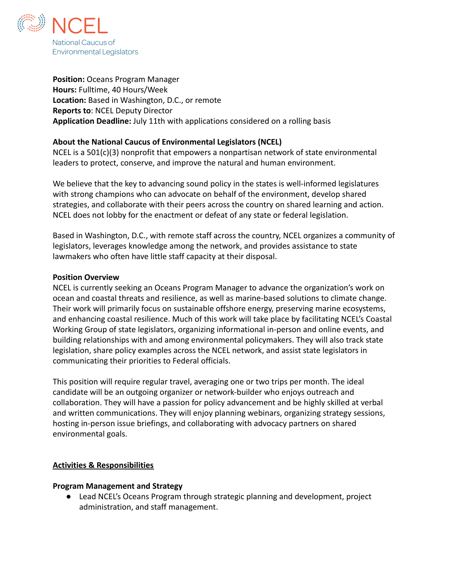

**Position:** Oceans Program Manager **Hours:** Fulltime, 40 Hours/Week **Location:** Based in Washington, D.C., or remote **Reports to**: NCEL Deputy Director **Application Deadline:** July 11th with applications considered on a rolling basis

### **About the National Caucus of Environmental Legislators (NCEL)**

NCEL is a 501(c)(3) nonprofit that empowers a nonpartisan network of state environmental leaders to protect, conserve, and improve the natural and human environment.

We believe that the key to advancing sound policy in the states is well-informed legislatures with strong champions who can advocate on behalf of the environment, develop shared strategies, and collaborate with their peers across the country on shared learning and action. NCEL does not lobby for the enactment or defeat of any state or federal legislation.

Based in Washington, D.C., with remote staff across the country, NCEL organizes a community of legislators, leverages knowledge among the network, and provides assistance to state lawmakers who often have little staff capacity at their disposal.

### **Position Overview**

NCEL is currently seeking an Oceans Program Manager to advance the organization's work on ocean and coastal threats and resilience, as well as marine-based solutions to climate change. Their work will primarily focus on sustainable offshore energy, preserving marine ecosystems, and enhancing coastal resilience. Much of this work will take place by facilitating NCEL's Coastal Working Group of state legislators, organizing informational in-person and online events, and building relationships with and among environmental policymakers. They will also track state legislation, share policy examples across the NCEL network, and assist state legislators in communicating their priorities to Federal officials.

This position will require regular travel, averaging one or two trips per month. The ideal candidate will be an outgoing organizer or network-builder who enjoys outreach and collaboration. They will have a passion for policy advancement and be highly skilled at verbal and written communications. They will enjoy planning webinars, organizing strategy sessions, hosting in-person issue briefings, and collaborating with advocacy partners on shared environmental goals.

### **Activities & Responsibilities**

#### **Program Management and Strategy**

*●* Lead NCEL's Oceans Program through strategic planning and development, project administration, and staff management.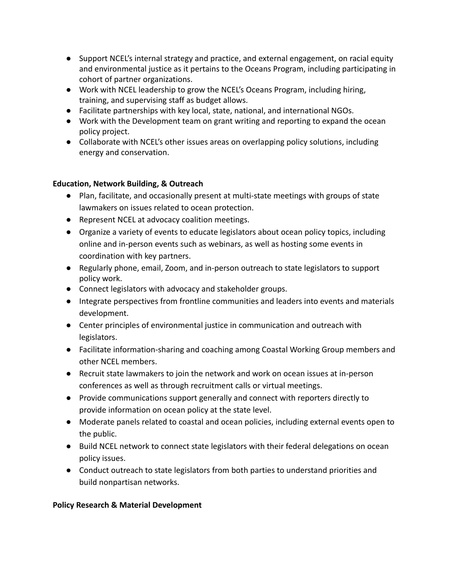- Support NCEL's internal strategy and practice, and external engagement, on racial equity and environmental justice as it pertains to the Oceans Program, including participating in cohort of partner organizations.
- Work with NCEL leadership to grow the NCEL's Oceans Program, including hiring, training, and supervising staff as budget allows.
- Facilitate partnerships with key local, state, national, and international NGOs.
- Work with the Development team on grant writing and reporting to expand the ocean policy project.
- Collaborate with NCEL's other issues areas on overlapping policy solutions, including energy and conservation.

## **Education, Network Building, & Outreach**

- Plan, facilitate, and occasionally present at multi-state meetings with groups of state lawmakers on issues related to ocean protection.
- Represent NCEL at advocacy coalition meetings.
- Organize a variety of events to educate legislators about ocean policy topics, including online and in-person events such as webinars, as well as hosting some events in coordination with key partners.
- Regularly phone, email, Zoom, and in-person outreach to state legislators to support policy work.
- Connect legislators with advocacy and stakeholder groups.
- Integrate perspectives from frontline communities and leaders into events and materials development.
- Center principles of environmental justice in communication and outreach with legislators.
- Facilitate information-sharing and coaching among Coastal Working Group members and other NCEL members.
- Recruit state lawmakers to join the network and work on ocean issues at in-person conferences as well as through recruitment calls or virtual meetings.
- Provide communications support generally and connect with reporters directly to provide information on ocean policy at the state level.
- Moderate panels related to coastal and ocean policies, including external events open to the public.
- Build NCEL network to connect state legislators with their federal delegations on ocean policy issues.
- Conduct outreach to state legislators from both parties to understand priorities and build nonpartisan networks.

# **Policy Research & Material Development**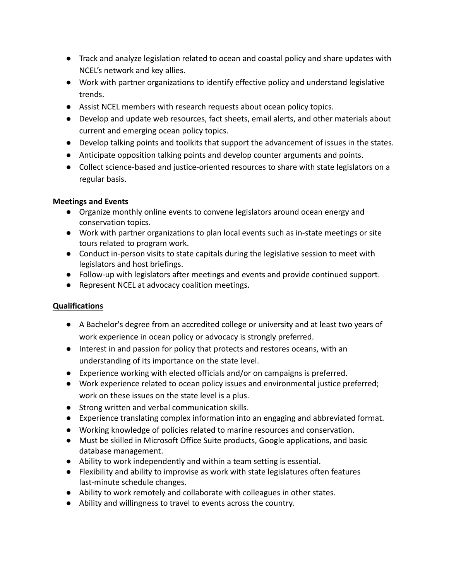- Track and analyze legislation related to ocean and coastal policy and share updates with NCEL's network and key allies.
- Work with partner organizations to identify effective policy and understand legislative trends.
- Assist NCEL members with research requests about ocean policy topics.
- Develop and update web resources, fact sheets, email alerts, and other materials about current and emerging ocean policy topics.
- Develop talking points and toolkits that support the advancement of issues in the states.
- Anticipate opposition talking points and develop counter arguments and points.
- Collect science-based and justice-oriented resources to share with state legislators on a regular basis.

## **Meetings and Events**

- Organize monthly online events to convene legislators around ocean energy and conservation topics.
- Work with partner organizations to plan local events such as in-state meetings or site tours related to program work.
- Conduct in-person visits to state capitals during the legislative session to meet with legislators and host briefings.
- Follow-up with legislators after meetings and events and provide continued support.
- Represent NCEL at advocacy coalition meetings.

# **Qualifications**

- A Bachelor's degree from an accredited college or university and at least two years of work experience in ocean policy or advocacy is strongly preferred.
- Interest in and passion for policy that protects and restores oceans, with an understanding of its importance on the state level.
- Experience working with elected officials and/or on campaigns is preferred.
- Work experience related to ocean policy issues and environmental justice preferred; work on these issues on the state level is a plus.
- Strong written and verbal communication skills.
- Experience translating complex information into an engaging and abbreviated format.
- Working knowledge of policies related to marine resources and conservation.
- Must be skilled in Microsoft Office Suite products, Google applications, and basic database management.
- Ability to work independently and within a team setting is essential.
- Flexibility and ability to improvise as work with state legislatures often features last-minute schedule changes.
- Ability to work remotely and collaborate with colleagues in other states.
- Ability and willingness to travel to events across the country.